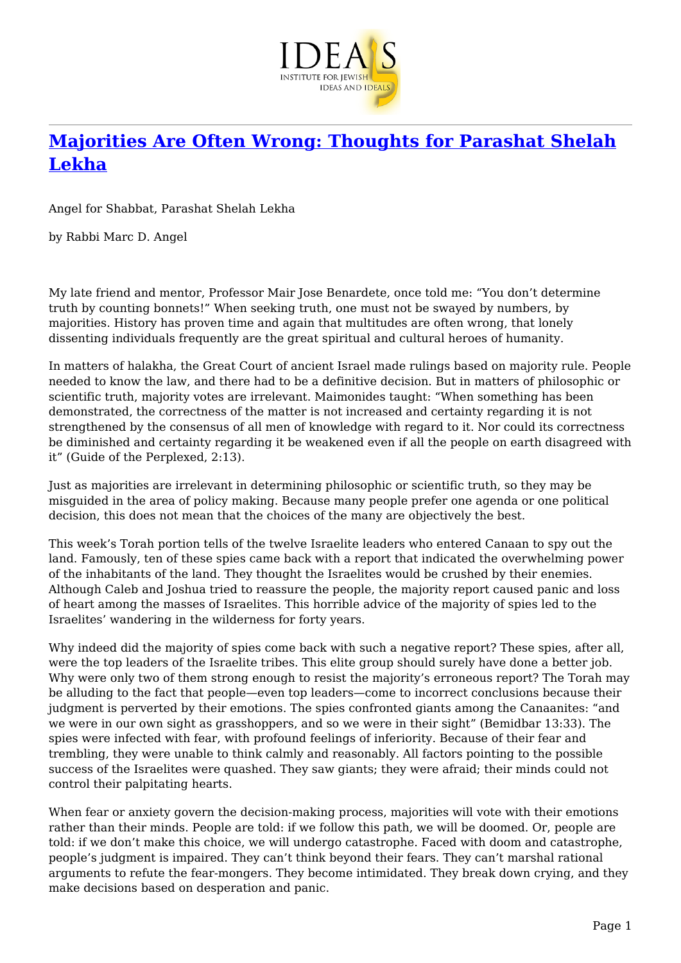

## **[Majorities Are Often Wrong: Thoughts for Parashat Shelah](https://www.jewishideas.org/majorities-are-often-wrong-thoughts-parashat-shelah-lekha) [Lekha](https://www.jewishideas.org/majorities-are-often-wrong-thoughts-parashat-shelah-lekha)**

Angel for Shabbat, Parashat Shelah Lekha

by Rabbi Marc D. Angel

My late friend and mentor, Professor Mair Jose Benardete, once told me: "You don't determine truth by counting bonnets!" When seeking truth, one must not be swayed by numbers, by majorities. History has proven time and again that multitudes are often wrong, that lonely dissenting individuals frequently are the great spiritual and cultural heroes of humanity.

In matters of halakha, the Great Court of ancient Israel made rulings based on majority rule. People needed to know the law, and there had to be a definitive decision. But in matters of philosophic or scientific truth, majority votes are irrelevant. Maimonides taught: "When something has been demonstrated, the correctness of the matter is not increased and certainty regarding it is not strengthened by the consensus of all men of knowledge with regard to it. Nor could its correctness be diminished and certainty regarding it be weakened even if all the people on earth disagreed with it" (Guide of the Perplexed, 2:13).

Just as majorities are irrelevant in determining philosophic or scientific truth, so they may be misguided in the area of policy making. Because many people prefer one agenda or one political decision, this does not mean that the choices of the many are objectively the best.

This week's Torah portion tells of the twelve Israelite leaders who entered Canaan to spy out the land. Famously, ten of these spies came back with a report that indicated the overwhelming power of the inhabitants of the land. They thought the Israelites would be crushed by their enemies. Although Caleb and Joshua tried to reassure the people, the majority report caused panic and loss of heart among the masses of Israelites. This horrible advice of the majority of spies led to the Israelites' wandering in the wilderness for forty years.

Why indeed did the majority of spies come back with such a negative report? These spies, after all, were the top leaders of the Israelite tribes. This elite group should surely have done a better job. Why were only two of them strong enough to resist the majority's erroneous report? The Torah may be alluding to the fact that people—even top leaders—come to incorrect conclusions because their judgment is perverted by their emotions. The spies confronted giants among the Canaanites: "and we were in our own sight as grasshoppers, and so we were in their sight" (Bemidbar 13:33). The spies were infected with fear, with profound feelings of inferiority. Because of their fear and trembling, they were unable to think calmly and reasonably. All factors pointing to the possible success of the Israelites were quashed. They saw giants; they were afraid; their minds could not control their palpitating hearts.

When fear or anxiety govern the decision-making process, majorities will vote with their emotions rather than their minds. People are told: if we follow this path, we will be doomed. Or, people are told: if we don't make this choice, we will undergo catastrophe. Faced with doom and catastrophe, people's judgment is impaired. They can't think beyond their fears. They can't marshal rational arguments to refute the fear-mongers. They become intimidated. They break down crying, and they make decisions based on desperation and panic.